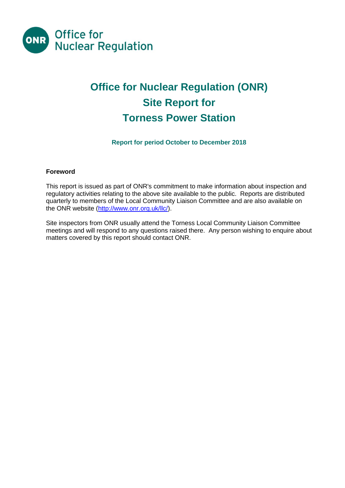

# **Office for Nuclear Regulation (ONR) Site Report for Torness Power Station**

# **Report for period October to December 2018**

# **Foreword**

This report is issued as part of ONR's commitment to make information about inspection and regulatory activities relating to the above site available to the public. Reports are distributed quarterly to members of the Local Community Liaison Committee and are also available on the ONR website [\(http://www.onr.org.uk/llc/\)](http://www.onr.org.uk/llc/).

Site inspectors from ONR usually attend the Torness Local Community Liaison Committee meetings and will respond to any questions raised there. Any person wishing to enquire about matters covered by this report should contact ONR.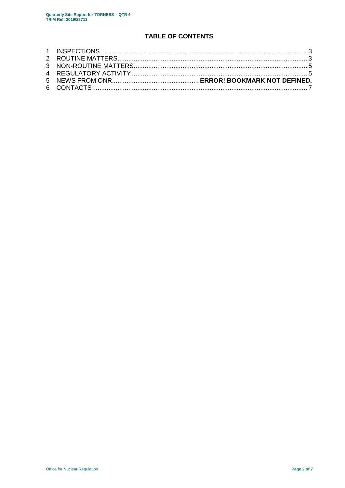# **TABLE OF CONTENTS**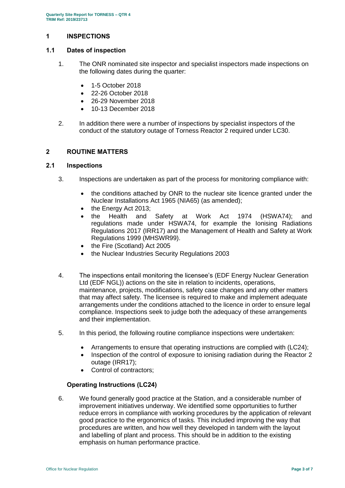# **1 INSPECTIONS**

# **1.1 Dates of inspection**

- 1. The ONR nominated site inspector and specialist inspectors made inspections on the following dates during the quarter:
	- 1-5 October 2018
	- 22-26 October 2018
	- 26-29 November 2018
	- 10-13 December 2018
- 2. In addition there were a number of inspections by specialist inspectors of the conduct of the statutory outage of Torness Reactor 2 required under LC30.

# **2 ROUTINE MATTERS**

# **2.1 Inspections**

- 3. Inspections are undertaken as part of the process for monitoring compliance with:
	- the conditions attached by ONR to the nuclear site licence granted under the Nuclear Installations Act 1965 (NIA65) (as amended);
	- the Energy Act 2013;
	- the Health and Safety at Work Act 1974 (HSWA74); and regulations made under HSWA74, for example the Ionising Radiations Regulations 2017 (IRR17) and the Management of Health and Safety at Work Regulations 1999 (MHSWR99).
	- the Fire (Scotland) Act 2005
	- the Nuclear Industries Security Regulations 2003
- 4. The inspections entail monitoring the licensee's (EDF Energy Nuclear Generation Ltd (EDF NGL)) actions on the site in relation to incidents, operations, maintenance, projects, modifications, safety case changes and any other matters that may affect safety. The licensee is required to make and implement adequate arrangements under the conditions attached to the licence in order to ensure legal compliance. Inspections seek to judge both the adequacy of these arrangements and their implementation.
- 5. In this period, the following routine compliance inspections were undertaken:
	- Arrangements to ensure that operating instructions are complied with (LC24);
	- Inspection of the control of exposure to ionising radiation during the Reactor 2 outage (IRR17);
	- Control of contractors;

# **Operating Instructions (LC24)**

6. We found generally good practice at the Station, and a considerable number of improvement initiatives underway. We identified some opportunities to further reduce errors in compliance with working procedures by the application of relevant good practice to the ergonomics of tasks. This included improving the way that procedures are written, and how well they developed in tandem with the layout and labelling of plant and process. This should be in addition to the existing emphasis on human performance practice.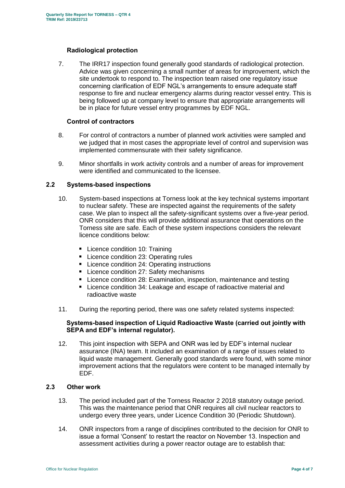# **Radiological protection**

7. The IRR17 inspection found generally good standards of radiological protection. Advice was given concerning a small number of areas for improvement, which the site undertook to respond to. The inspection team raised one regulatory issue concerning clarification of EDF NGL's arrangements to ensure adequate staff response to fire and nuclear emergency alarms during reactor vessel entry. This is being followed up at company level to ensure that appropriate arrangements will be in place for future vessel entry programmes by EDF NGL.

#### **Control of contractors**

- 8. For control of contractors a number of planned work activities were sampled and we judged that in most cases the appropriate level of control and supervision was implemented commensurate with their safety significance.
- 9. Minor shortfalls in work activity controls and a number of areas for improvement were identified and communicated to the licensee.

#### **2.2 Systems-based inspections**

- 10. System-based inspections at Torness look at the key technical systems important to nuclear safety. These are inspected against the requirements of the safety case. We plan to inspect all the safety-significant systems over a five-year period. ONR considers that this will provide additional assurance that operations on the Torness site are safe. Each of these system inspections considers the relevant licence conditions below:
	- **Licence condition 10: Training**
	- **Licence condition 23: Operating rules**
	- Licence condition 24: Operating instructions
	- Licence condition 27: Safety mechanisms
	- Licence condition 28: Examination, inspection, maintenance and testing
	- Licence condition 34: Leakage and escape of radioactive material and radioactive waste
- 11. During the reporting period, there was one safety related systems inspected:

#### **Systems-based inspection of Liquid Radioactive Waste (carried out jointly with SEPA and EDF's internal regulator).**

12. This joint inspection with SEPA and ONR was led by EDF's internal nuclear assurance (INA) team. It included an examination of a range of issues related to liquid waste management. Generally good standards were found, with some minor improvement actions that the regulators were content to be managed internally by EDF.

# **2.3 Other work**

- 13. The period included part of the Torness Reactor 2 2018 statutory outage period. This was the maintenance period that ONR requires all civil nuclear reactors to undergo every three years, under Licence Condition 30 (Periodic Shutdown).
- 14. ONR inspectors from a range of disciplines contributed to the decision for ONR to issue a formal 'Consent' to restart the reactor on November 13. Inspection and assessment activities during a power reactor outage are to establish that: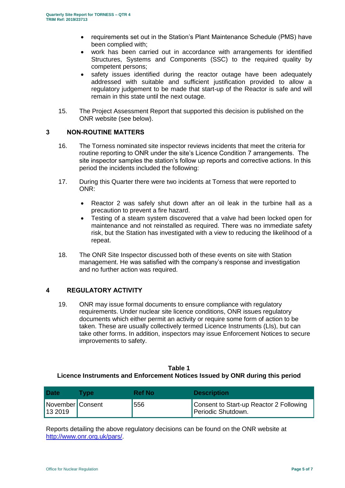- requirements set out in the Station's Plant Maintenance Schedule (PMS) have been complied with;
- work has been carried out in accordance with arrangements for identified Structures, Systems and Components (SSC) to the required quality by competent persons;
- safety issues identified during the reactor outage have been adequately addressed with suitable and sufficient justification provided to allow a regulatory judgement to be made that start-up of the Reactor is safe and will remain in this state until the next outage.
- 15. The Project Assessment Report that supported this decision is published on the ONR website (see below).

# **3 NON-ROUTINE MATTERS**

- 16. The Torness nominated site inspector reviews incidents that meet the criteria for routine reporting to ONR under the site's Licence Condition 7 arrangements. The site inspector samples the station's follow up reports and corrective actions. In this period the incidents included the following:
- 17. During this Quarter there were two incidents at Torness that were reported to ONR:
	- Reactor 2 was safely shut down after an oil leak in the turbine hall as a precaution to prevent a fire hazard.
	- Testing of a steam system discovered that a valve had been locked open for maintenance and not reinstalled as required. There was no immediate safety risk, but the Station has investigated with a view to reducing the likelihood of a repeat.
- 18. The ONR Site Inspector discussed both of these events on site with Station management. He was satisfied with the company's response and investigation and no further action was required.

# **4 REGULATORY ACTIVITY**

19. ONR may issue formal documents to ensure compliance with regulatory requirements. Under nuclear site licence conditions, ONR issues regulatory documents which either permit an activity or require some form of action to be taken. These are usually collectively termed Licence Instruments (LIs), but can take other forms. In addition, inspectors may issue Enforcement Notices to secure improvements to safety.

#### **Table 1 Licence Instruments and Enforcement Notices Issued by ONR during this period**

| <b>Date</b>                   | <b>Tvpe</b> | Ref No | <b>Description</b>                                            |
|-------------------------------|-------------|--------|---------------------------------------------------------------|
| November   Consent<br>13 2019 |             | 556    | Consent to Start-up Reactor 2 Following<br>Periodic Shutdown. |

Reports detailing the above regulatory decisions can be found on the ONR website at [http://www.onr.org.uk/pars/.](http://www.onr.org.uk/pars/)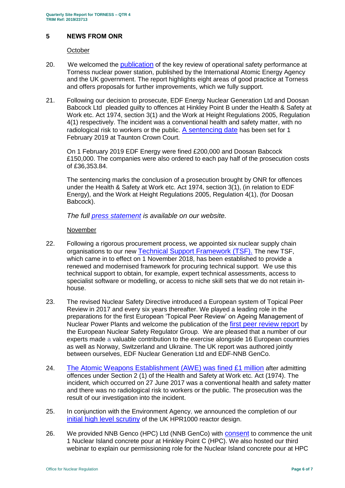# **5 NEWS FROM ONR**

#### **October**

- 20. We welcomed the [publication](http://news.onr.org.uk/2018/10/iaea-review-torness-power-station/) of the key review of operational safety performance at Torness nuclear power station, published by the International Atomic Energy Agency and the UK government. The report highlights eight areas of good practice at Torness and offers proposals for further improvements, which we fully support.
- 21. Following our decision to prosecute, EDF Energy Nuclear Generation Ltd and Doosan Babcock Ltd pleaded guilty to offences at Hinkley Point B under the Health & Safety at Work etc. Act 1974, section 3(1) and the Work at Height Regulations 2005, Regulation 4(1) respectively. The incident was a conventional health and safety matter, with no radiological risk to workers or the public. [A sentencing date](http://news.onr.org.uk/2018/10/edf-and-doosan-babcock-plead-guilty/) has been set for 1 February 2019 at Taunton Crown Court.

On 1 February 2019 EDF Energy were fined £200,000 and Doosan Babcock £150,000. The companies were also ordered to each pay half of the prosecution costs of £36,353.84.

The sentencing marks the conclusion of a prosecution brought by ONR for offences under the Health & Safety at Work etc. Act 1974, section 3(1), (in relation to EDF Energy), and the Work at Height Regulations 2005, Regulation 4(1), (for Doosan Babcock).

*The full [press statement](http://news.onr.org.uk/2019/02/companies-fined-for-health-and-safety-breaches/) is available on our website.*

#### November

- 22. Following a rigorous procurement process, we appointed six nuclear supply chain organisations to our new [Technical Support Framework \(TSF\).](http://news.onr.org.uk/2018/11/new-technical-support-framework-announced/) The new TSF, which came in to effect on 1 November 2018, has been established to provide a renewed and modernised framework for procuring technical support. We use this technical support to obtain, for example, expert technical assessments, access to specialist software or modelling, or access to niche skill sets that we do not retain inhouse.
- 23. The revised Nuclear Safety Directive introduced a European system of Topical Peer Review in 2017 and every six years thereafter. We played a leading role in the preparations for the first European 'Topical Peer Review' on Ageing Management of Nuclear Power Plants and welcome the publication of the [first peer review report](http://news.onr.org.uk/2018/11/onr-welcomes-first-topical-peer-review/) by the European Nuclear Safety Regulator Group. We are pleased that a number of our experts made a valuable contribution to the exercise alongside 16 European countries as well as Norway, Switzerland and Ukraine. The UK report was authored jointly between ourselves, EDF Nuclear Generation Ltd and EDF-NNB GenCo.
- 24. [The Atomic Weapons Establishment \(AWE\) was fined £1 million](http://news.onr.org.uk/2018/11/awe-prosecution-reaction/) after admitting offences under Section 2 (1) of the Health and Safety at Work etc. Act (1974). The incident, which occurred on 27 June 2017 was a conventional health and safety matter and there was no radiological risk to workers or the public. The prosecution was the result of our investigation into the incident.
- 25. In conjunction with the Environment Agency, we announced the completion of our [initial high level scrutiny](http://news.onr.org.uk/2018/11/uk-hpr1000-completes-gda-step-2/) of the UK HPR1000 reactor design.
- 26. We provided NNB Genco (HPC) Ltd (NNB GenCo) with **[consent](http://news.onr.org.uk/2018/11/consent-for-hinkley-point-c-nuclear-island-concrete-pour/)** to commence the unit 1 Nuclear Island concrete pour at Hinkley Point C (HPC). We also hosted our third webinar to explain our permissioning role for the Nuclear Island concrete pour at HPC